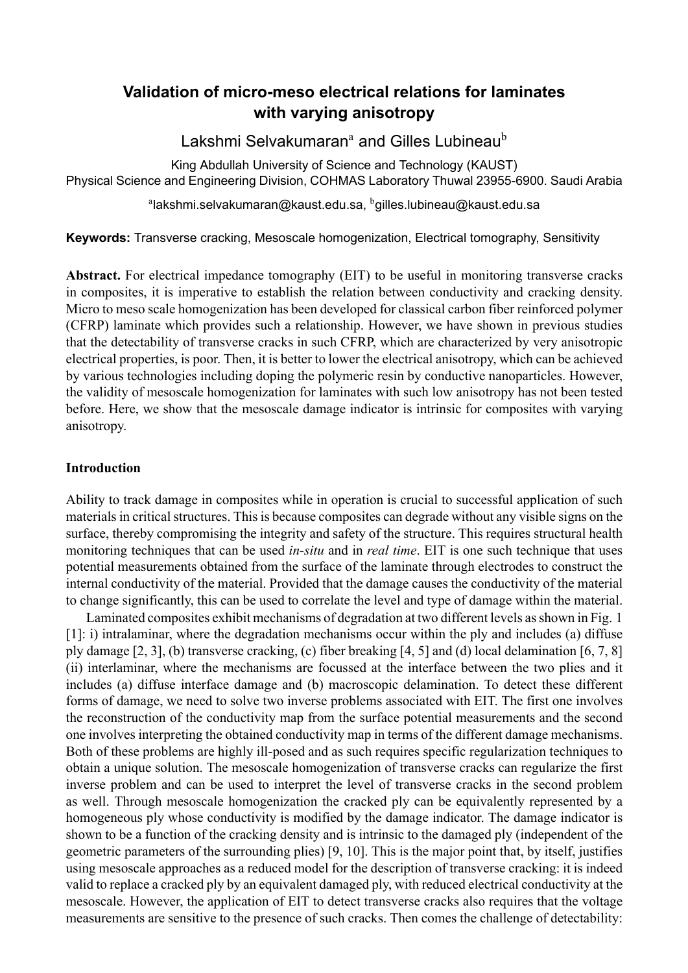# **Validation of micro-meso electrical relations for laminates with varying anisotropy**

Lakshmi Selvakumaran<sup>a</sup> and Gilles Lubineau<sup>b</sup>

King Abdullah University of Science and Technology (KAUST) Physical Science and Engineering Division, COHMAS Laboratory Thuwal 23955-6900. Saudi Arabia

 $^{\rm a}$ lakshmi.selvakumaran@kaust.edu.sa,  $^{\rm b}$ gilles.lubineau@kaust.edu.sa

# **Keywords:** Transverse cracking, Mesoscale homogenization, Electrical tomography, Sensitivity

**Abstract.** For electrical impedance tomography (EIT) to be useful in monitoring transverse cracks in composites, it is imperative to establish the relation between conductivity and cracking density. Micro to meso scale homogenization has been developed for classical carbon fiber reinforced polymer (CFRP) laminate which provides such a relationship. However, we have shown in previous studies that the detectability of transverse cracks in such CFRP, which are characterized by very anisotropic electrical properties, is poor. Then, it is better to lower the electrical anisotropy, which can be achieved by various technologies including doping the polymeric resin by conductive nanoparticles. However, the validity of mesoscale homogenization for laminates with such low anisotropy has not been tested before. Here, we show that the mesoscale damage indicator is intrinsic for composites with varying anisotropy.

## **Introduction**

Ability to track damage in composites while in operation is crucial to successful application of such materials in critical structures. This is because composites can degrade without any visible signs on the surface, thereby compromising the integrity and safety of the structure. This requires structural health monitoring techniques that can be used *in-situ* and in *real time*. EIT is one such technique that uses potential measurements obtained from the surface of the laminate through electrodes to construct the internal conductivity of the material. Provided that the damage causes the conductivity of the material to change significantly, this can be used to correlate the level and type of damage within the material.

Laminated composites exhibit mechanisms of degradation at two different levels as shown in Fig. 1 [1]: i) intralaminar, where the degradation mechanisms occur within the ply and includes (a) diffuse ply damage [2, 3], (b) transverse cracking, (c) fiber breaking [4, 5] and (d) local delamination [6, 7, 8] (ii) interlaminar, where the mechanisms are focussed at the interface between the two plies and [it](#page-1-0) i[nc](#page-6-0)ludes (a) diffuse interface damage and (b) macroscopic delamination. To detect these different forms of da[ma](#page-6-1)[ge](#page-6-2), we need to solve two inverse problems ass[oc](#page-6-3)[ia](#page-6-4)ted with EIT. The first one i[nv](#page-6-5)[ol](#page-6-6)[ves](#page-6-7) the reconstruction of the conductivity map from the surface potential measurements and the second one involves interpreting the obtained conductivity map in terms of the different damage mechanisms. Both of these problems are highly ill-posed and as such requires specific regularization techniques to obtain a unique solution. The mesoscale homogenization of transverse cracks can regularize the first inverse problem and can be used to interpret the level of transverse cracks in the second problem as well. Through mesoscale homogenization the cracked ply can be equivalently represented by a homogeneous ply whose conductivity is modified by the damage indicator. The damage indicator is shown to be a function of the cracking density and is intrinsic to the damaged ply (independent of the geometric parameters of the surrounding plies) [9, 10]. This is the major point that, by itself, justifies using mesoscale approaches as a reduced model for the description of transverse cracking: it is indeed valid to replace a cracked ply by an equivalent damaged ply, with reduced electrical conductivity at the mesoscale. However, the application of EIT to [de](#page-7-0)t[ect](#page-7-1) transverse cracks also requires that the voltage measurements are sensitive to the presence of such cracks. Then comes the challenge of detectability: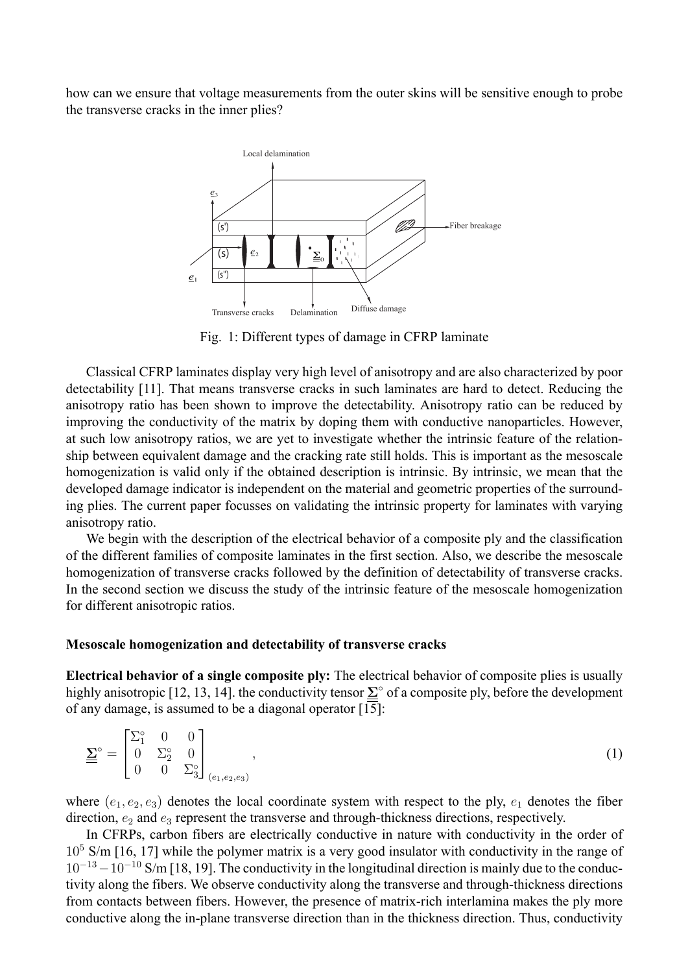<span id="page-1-0"></span>how can we ensure that voltage measurements from the outer skins will be sensitive enough to probe the transverse cracks in the inner plies?



Fig. 1: Different types of damage in CFRP laminate

Classical CFRP laminates display very high level of anisotropy and are also characterized by poor detectability [11]. That means transverse cracks in such laminates are hard to detect. Reducing the anisotropy ratio has been shown to improve the detectability. Anisotropy ratio can be reduced by improving the conductivity of the matrix by doping them with conductive nanoparticles. However, at such low a[niso](#page-7-2)tropy ratios, we are yet to investigate whether the intrinsic feature of the relationship between equivalent damage and the cracking rate still holds. This is important as the mesoscale homogenization is valid only if the obtained description is intrinsic. By intrinsic, we mean that the developed damage indicator is independent on the material and geometric properties of the surrounding plies. The current paper focusses on validating the intrinsic property for laminates with varying anisotropy ratio.

We begin with the description of the electrical behavior of a composite ply and the classification of the different families of composite laminates in the first section. Also, we describe the mesoscale homogenization of transverse cracks followed by the definition of detectability of transverse cracks. In the second section we discuss the study of the intrinsic feature of the mesoscale homogenization for different anisotropic ratios.

#### **Mesoscale homogenization and detectability of transverse cracks**

**Electrical behavior of a single composite ply:** The electrical behavior of composite plies is usually highly anisotropic [12, 13, 14]. the conductivity tensor **Σ** *◦* of a composite ply, before the development of any damage, is assumed to be a diagonal operator [15]:

$$
\underline{\Sigma}^{\circ} = \begin{bmatrix} \Sigma_1^{\circ} & 0 & 0 \\ 0 & \Sigma_2^{\circ} & 0 \\ 0 & 0 & \Sigma_3^{\circ} \end{bmatrix}_{(e_1, e_2, e_3)}, \qquad (1)
$$

where  $(e_1, e_2, e_3)$  denotes the local coordinate system with respect to the ply,  $e_1$  denotes the fiber direction,  $e_2$  and  $e_3$  represent the transverse and through-thickness directions, respectively.

In CFRPs, carbon fibers are electrically conductive in nature with conductivity in the order of  $10<sup>5</sup>$  S/m [16, 17] while the polymer matrix is a very good insulator with conductivity in the range of 10*−*<sup>13</sup>*−*10*−*<sup>10</sup> S/m [18, 19]. The conductivity in the longitudinal direction is mainly due to the conductivity along the fibers. We observe conductivity along the transverse and through-thickness directions from con[tact](#page-7-5)[s be](#page-7-6)tween fibers. However, the presence of matrix-rich interlamina makes the ply more conductive along t[he i](#page-7-7)[n-pl](#page-7-8)ane transverse direction than in the thickness direction. Thus, conductivity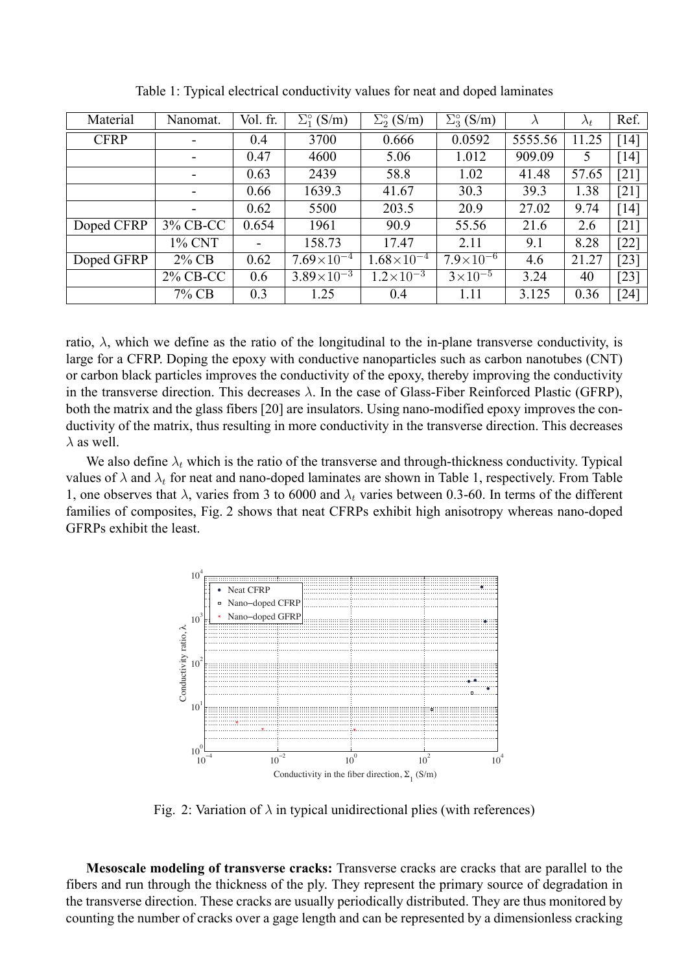<span id="page-2-0"></span>

| Material    | Nanomat.                 | Vol. fr. | $\Sigma^{\circ}$ (S/m) | $\Sigma^{\circ}_{2}$ (S/m) | $\Sigma_3^{\circ}$ (S/m) | $\lambda$ | $\lambda_t$ | Ref.               |
|-------------|--------------------------|----------|------------------------|----------------------------|--------------------------|-----------|-------------|--------------------|
| <b>CFRP</b> | $\overline{\phantom{a}}$ | 0.4      | 3700                   | 0.666                      | 0.0592                   | 5555.56   | 11.25       | [14]               |
|             | $\overline{\phantom{a}}$ | 0.47     | 4600                   | 5.06                       | 1.012                    | 909.09    | 5           | [14]               |
|             | $\overline{\phantom{a}}$ | 0.63     | 2439                   | 58.8                       | 1.02                     | 41.48     | 57.65       | [21]               |
|             | -                        | 0.66     | 1639.3                 | 41.67                      | 30.3                     | 39.3      | 1.38        | $[21]$             |
|             |                          | 0.62     | 5500                   | 203.5                      | 20.9                     | 27.02     | 9.74        | [14]               |
| Doped CFRP  | 3% CB-CC                 | 0.654    | 1961                   | 90.9                       | 55.56                    | 21.6      | 2.6         | $\lceil 21 \rceil$ |
|             | 1% CNT                   |          | 158.73                 | 17.47                      | 2.11                     | 9.1       | 8.28        | $[22]$             |
| Doped GFRP  | 2% CB                    | 0.62     | $7.69\times10^{-4}$    | $1.68\times10^{-4}$        | $7.9\times10^{-6}$       | 4.6       | 21.27       | [23]               |
|             | 2% CB-CC                 | 0.6      | $3.89\times10^{-3}$    | $1.2 \times 10^{-3}$       | $3\times10^{-5}$         | 3.24      | 40          | [23]               |
|             | 7% CB                    | 0.3      | 1.25                   | 0.4                        | 1.11                     | 3.125     | 0.36        | $\lceil 24 \rceil$ |

Table 1: Typical electrical conductivity values for neat and doped laminates

ratio,  $\lambda$ , which we define a[s](#page-7-12) the ratio of the longitudinal to the in-plane transverse conductivity, is large for a CFRP. Doping the epoxy with conductive nanoparticles such as carbon nanotubes (CNT[\)](#page-7-13) or carbon black particles improves the conductivity of the epoxy, thereby improving the conductivity in the transverse direction. This decreases *λ*. In the case of Glass-Fiber Reinforced Plastic (GFRP), both the matrix and the glass fibers [20] are insulators. Using nano-modified epoxy improves the conductivity of the matrix, thus resulting in more conductivity in the transverse direction. This decreases  $\lambda$  as well.

We also define  $\lambda_t$  which is the r[atio](#page-7-14) of the transverse and through-thickness conductivity. Typical values of  $\lambda$  and  $\lambda_t$  for neat and nano-doped laminates are shown in Table 1, respectively. From Table 1, one observes that  $\lambda$ , varies from 3 to 6000 and  $\lambda_t$  varies between 0.3-60. In terms of the different families of composites, Fig. 2 shows that neat CFRPs exhibit high anisotropy whereas nano-doped GFRPs exhibit the least.



Fig. 2: Variation of  $\lambda$  in typical unidirectional plies (with references)

**Mesoscale modeling of transverse cracks:** Transverse cracks are cracks that are parallel to the fibers and run through the thickness of the ply. They represent the primary source of degradation in the transverse direction. These cracks are usually periodically distributed. They are thus monitored by counting the number of cracks over a gage length and can be represented by a dimensionless cracking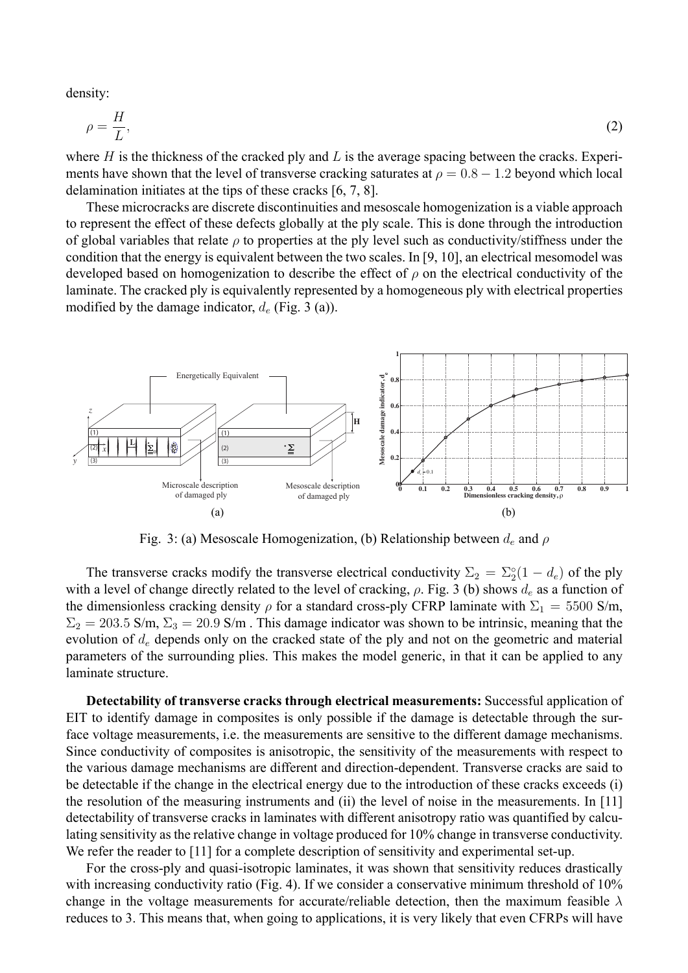density:

$$
\rho = \frac{H}{L},\tag{2}
$$

where *H* is the thickness of the cracked ply and *L* is the average spacing between the cracks. Experiments have shown that the level of transverse cracking saturates at  $\rho = 0.8 - 1.2$  beyond which local delamination initiates at the tips of these cracks [6, 7, 8].

These microcracks are discrete discontinuities and mesoscale homogenization is a viable approach to represent the effect of these defects globally at the ply scale. This is done through the introduction of global variables that relate *ρ* to properties att[he](#page-6-5) [p](#page-6-6)l[y](#page-6-7) level such as conductivity/stiffness under the condition that the energy is equivalent between the two scales. In [9, 10], an electrical mesomodel was developed based on homogenization to describe the effect of *ρ* on the electrical conductivity of the laminate. The cracked ply is equivalently represented by a homogeneous ply with electrical properties modified by the damage indicator, *d<sup>e</sup>* (Fig. 3 (a)).

<span id="page-3-0"></span>

Fig. 3: (a) Mesoscale Homogenization, (b) Relationship between *d<sup>e</sup>* and *ρ*

The transverse cracks modify the transverse electrical conductivity  $\Sigma_2 = \Sigma_2^{\circ}(1 - d_e)$  of the ply with a level of change directly related to the level of cracking, *ρ*. Fig. 3 (b) shows *d<sup>e</sup>* as a function of the dimensionless cracking density  $\rho$  for a standard cross-ply CFRP laminate with  $\Sigma_1 = 5500$  S/m,  $\Sigma_2 = 203.5$  S/m,  $\Sigma_3 = 20.9$  S/m. This damage indicator was shown to be intrinsic, meaning that the evolution of *d<sup>e</sup>* depends only on the cracked state of the ply and not [o](#page-3-0)n the geometric and material parameters of the surrounding plies. This makes the model generic, in that it can be applied to any laminate structure.

**Detectability of transverse cracks through electrical measurements:** Successful application of EIT to identify damage in composites is only possible if the damage is detectable through the surface voltage measurements, i.e. the measurements are sensitive to the different damage mechanisms. Since conductivity of composites is anisotropic, the sensitivity of the measurements with respect to the various damage mechanisms are different and direction-dependent. Transverse cracks are said to be detectable if the change in the electrical energy due to the introduction of these cracks exceeds (i) the resolution of the measuring instruments and (ii) the level of noise in the measurements. In [11] detectability of transverse cracks in laminates with different anisotropy ratio was quantified by calculating sensitivity as the relative change in voltage produced for 10% change in transverse conductivity. We refer the reader to [11] for a complete description of sensitivity and experimental set-up.

For the cross-ply and quasi-isotropic laminates, it was shown that sensitivity reduces drastic[ally](#page-7-2) with increasing conductivity ratio (Fig. 4). If we consider a conservative minimum threshold of 10% change in the voltage [me](#page-7-2)asurements for accurate/reliable detection, then the maximum feasible  $\lambda$ reduces to 3. This means that, when going to applications, it is very likely that even CFRPs will have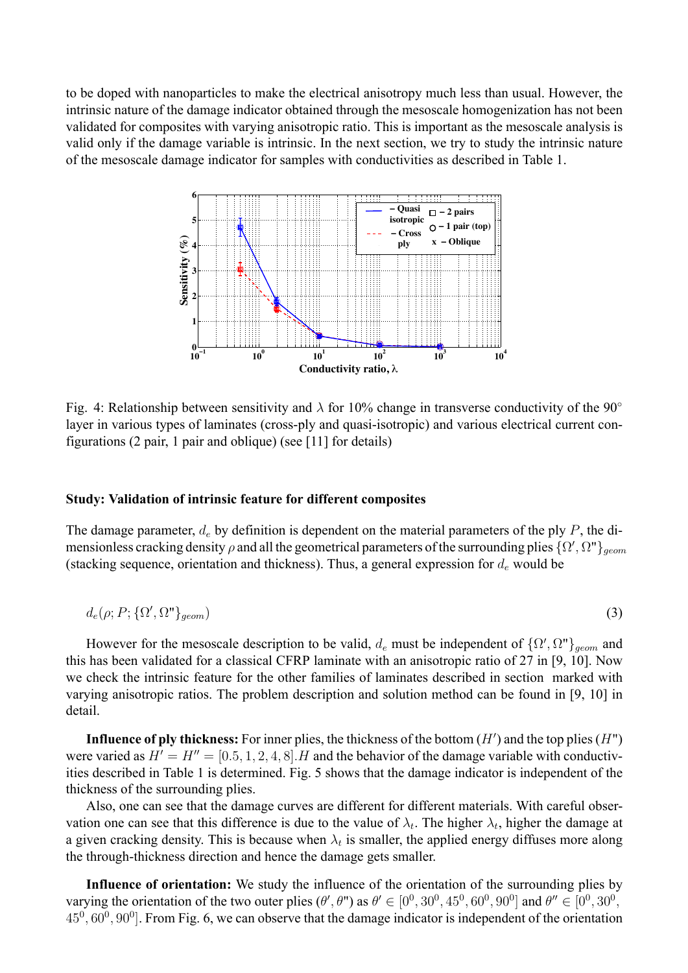to be doped with nanoparticles to make the electrical anisotropy much less than usual. However, the intrinsic nature of the damage indicator obtained through the mesoscale homogenization has not been validated for composites with varying anisotropic ratio. This is important as the mesoscale analysis is valid only if the damage variable is intrinsic. In the next section, we try to study the intrinsic nature of the mesoscale damage indicator for samples with conductivities as described in Table 1.



Fig. 4: Relationship between sensitivity and *λ* for 10% change in transverse conductivity of the 90*◦* layer in various types of laminates (cross-ply and quasi-isotropic) and various electrical current configurations (2 pair, 1 pair and oblique) (see [11] for details)

#### **Study: Validation of intrinsic feature for [diff](#page-7-2)erent composites**

The damage parameter, *d<sup>e</sup>* by definition is dependent on the material parameters of the ply *P*, the dimensionless cracking density *ρ* and all the geometrical parameters of the surrounding plies *{*Ω *′ ,* Ω"*}geom* (stacking sequence, orientation and thickness). Thus, a general expression for *d<sup>e</sup>* would be

$$
d_e(\rho; P; \{\Omega', \Omega''\}_{geom})
$$
\n<sup>(3)</sup>

However for the mesoscale description to be valid,  $d_e$  must be independent of  $\{ \Omega', \Omega'' \}_{geom}$  and this has been validated for a classical CFRP laminate with an anisotropic ratio of 27 in [9, 10]. Now we check the intrinsic feature for the other families of laminates described in section marked with varying anisotropic ratios. The problem description and solution method can be found in [9, 10] in detail.

**Influence of ply thickness:** For inner plies, the thickness of the bottom (*H′* ) and the top plies (*H*") were varied as  $H' = H'' = [0.5, 1, 2, 4, 8]$ . H and the behavior of the damage variable with c[on](#page-7-0)[duc](#page-7-1)tivities described in Table 1 is determined. Fig. 5 shows that the damage indicator is independent of the thickness of the surrounding plies.

Also, one can see that the damage curves are different for different materials. With careful observation one can see [th](#page-2-0)at [t](#page-5-0)his difference is due to the value of  $\lambda_t$ . The higher  $\lambda_t$ , higher the damage at a given cracking density. This is because when  $\lambda_t$  is smaller, the applied energy diffuses more along the through-thickness direction and hence the damage gets smaller.

Influence of orientation: We study the influence of the orientation of the surrounding plies by varying the orientation of the two outer plies  $(\theta', \theta'')$  as  $\theta' \in [0^0, 30^0, 45^0, 60^0, 90^0]$  and  $\theta'' \in [0^0, 30^0,$ 45<sup>0</sup>, 60<sup>0</sup>, 90<sup>0</sup>]. From Fig. 6, we can observe that the damage indicator is independent of the orientation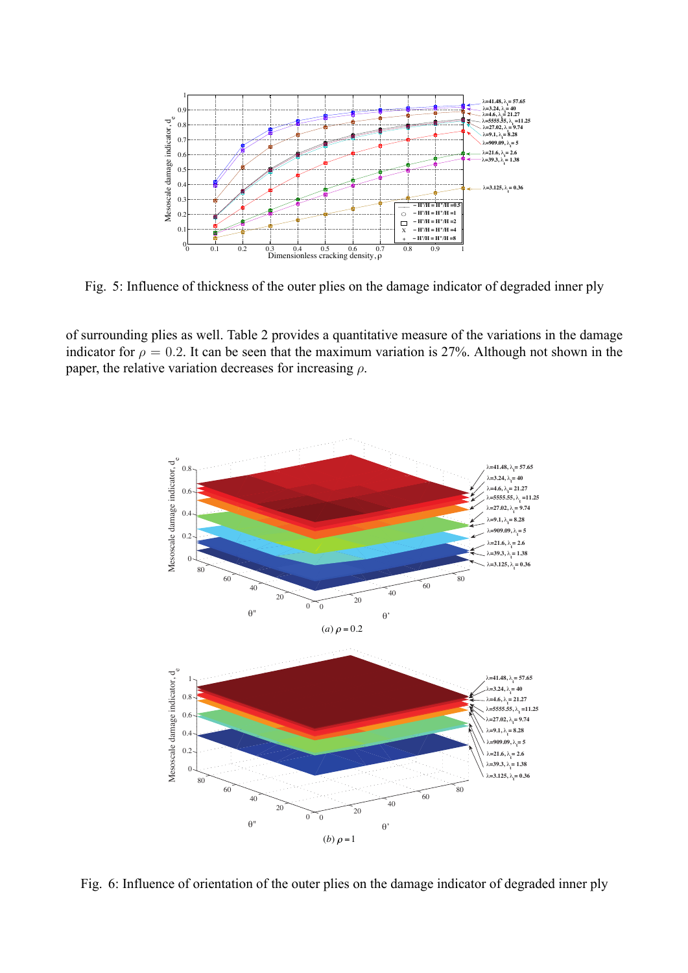<span id="page-5-0"></span>

Fig. 5: Influence of thickness of the outer plies on the damage indicator of degraded inner ply

of surrounding plies as well. Table 2 provides a quantitative measure of the variations in the damage indicator for  $\rho = 0.2$ . It can be seen that the maximum variation is 27%. Although not shown in the paper, the relative variation decreases for increasing *ρ*.



Fig. 6: Influence of orientation of the outer plies on the damage indicator of degraded inner ply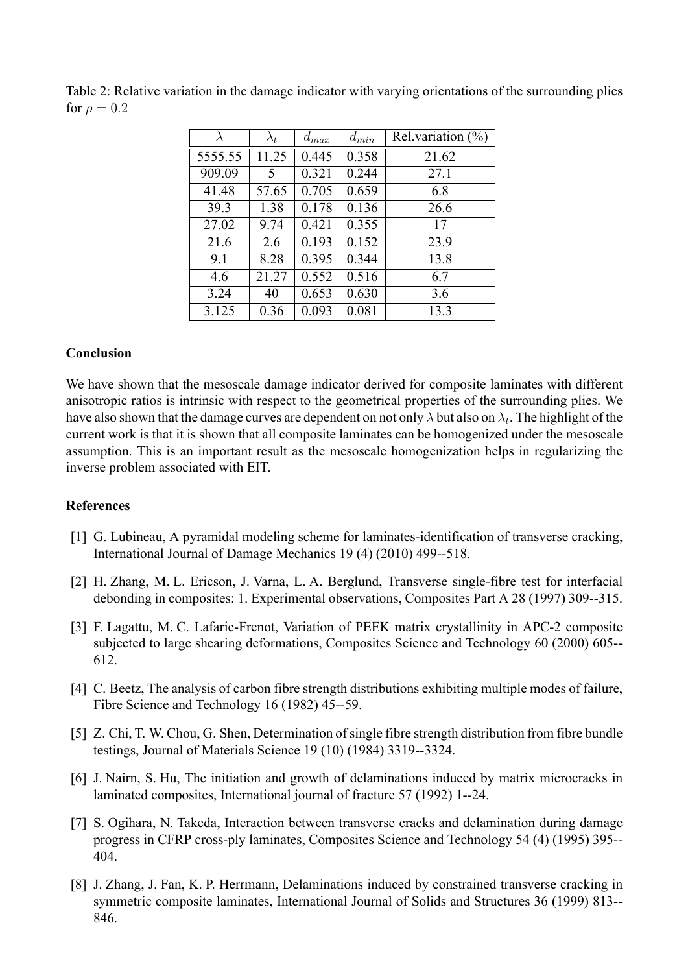| $\lambda$ | $\lambda_t$ | $d_{max}$ | $d_{min}$ | Rel.variation $(\%)$ |
|-----------|-------------|-----------|-----------|----------------------|
| 5555.55   | 11.25       | 0.445     | 0.358     | 21.62                |
| 909.09    | 5           | 0.321     | 0.244     | 27.1                 |
| 41.48     | 57.65       | 0.705     | 0.659     | 6.8                  |
| 39.3      | 1.38        | 0.178     | 0.136     | 26.6                 |
| 27.02     | 9.74        | 0.421     | 0.355     | 17                   |
| 21.6      | 2.6         | 0.193     | 0.152     | 23.9                 |
| 9.1       | 8.28        | 0.395     | 0.344     | 13.8                 |
| 4.6       | 21.27       | 0.552     | 0.516     | 6.7                  |
| 3.24      | 40          | 0.653     | 0.630     | 3.6                  |
| 3.125     | 0.36        | 0.093     | 0.081     | 13.3                 |

Table 2: Relative variation in the damage indicator with varying orientations of the surrounding plies for  $\rho = 0.2$ 

## **Conclusion**

We have shown that the mesoscale damage indicator derived for composite laminates with different anisotropic ratios is intrinsic with respect to the geometrical properties of the surrounding plies. We have also shown that the damage curves are dependent on not only *λ* but also on *λ<sup>t</sup>* . The highlight of the current work is that it is shown that all composite laminates can be homogenized under the mesoscale assumption. This is an important result as the mesoscale homogenization helps in regularizing the inverse problem associated with EIT.

## **References**

- <span id="page-6-0"></span>[1] G. Lubineau, A pyramidal modeling scheme for laminates-identification of transverse cracking, International Journal of Damage Mechanics 19 (4) (2010) 499--518.
- <span id="page-6-1"></span>[2] H. Zhang, M. L. Ericson, J. Varna, L. A. Berglund, Transverse single-fibre test for interfacial debonding in composites: 1. Experimental observations, Composites Part A 28 (1997) 309--315.
- <span id="page-6-2"></span>[3] F. Lagattu, M. C. Lafarie-Frenot, Variation of PEEK matrix crystallinity in APC-2 composite subjected to large shearing deformations, Composites Science and Technology 60 (2000) 605-- 612.
- <span id="page-6-3"></span>[4] C. Beetz, The analysis of carbon fibre strength distributions exhibiting multiple modes of failure, Fibre Science and Technology 16 (1982) 45--59.
- <span id="page-6-4"></span>[5] Z. Chi, T. W. Chou, G. Shen, Determination of single fibre strength distribution from fibre bundle testings, Journal of Materials Science 19 (10) (1984) 3319--3324.
- <span id="page-6-5"></span>[6] J. Nairn, S. Hu, The initiation and growth of delaminations induced by matrix microcracks in laminated composites, International journal of fracture 57 (1992) 1--24.
- <span id="page-6-6"></span>[7] S. Ogihara, N. Takeda, Interaction between transverse cracks and delamination during damage progress in CFRP cross-ply laminates, Composites Science and Technology 54 (4) (1995) 395-- 404.
- <span id="page-6-7"></span>[8] J. Zhang, J. Fan, K. P. Herrmann, Delaminations induced by constrained transverse cracking in symmetric composite laminates, International Journal of Solids and Structures 36 (1999) 813-- 846.